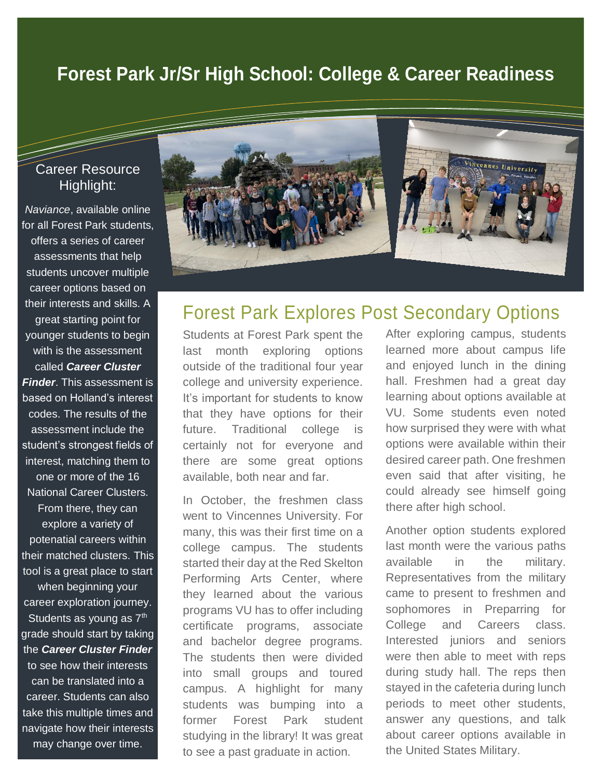## **Forest Park Jr/Sr High School: College & Career Readiness**

#### Career Resource Highlight:

*Naviance*, available online for all Forest Park students, offers a series of career assessments that help students uncover multiple career options based on their interests and skills. A great starting point for younger students to begin with is the assessment called *Career Cluster Finder*. This assessment is based on Holland's interest codes. The results of the assessment include the student's strongest fields of interest, matching them to one or more of the 16 National Career Clusters. From there, they can explore a variety of potenatial careers within their matched clusters. This tool is a great place to start when beginning your career exploration journey. Students as young as  $7<sup>th</sup>$ grade should start by taking the *Career Cluster Finder* to see how their interests can be translated into a career. Students can also take this multiple times and navigate how their interests may change over time.



### Forest Park Explores Post Secondary Options

Students at Forest Park spent the last month exploring options outside of the traditional four year college and university experience. It's important for students to know that they have options for their future. Traditional college is certainly not for everyone and there are some great options available, both near and far.

In October, the freshmen class went to Vincennes University. For many, this was their first time on a college campus. The students started their day at the Red Skelton Performing Arts Center, where they learned about the various programs VU has to offer including certificate programs, associate and bachelor degree programs. The students then were divided into small groups and toured campus. A highlight for many students was bumping into a former Forest Park student studying in the library! It was great to see a past graduate in action.

After exploring campus, students learned more about campus life and enjoyed lunch in the dining hall. Freshmen had a great day learning about options available at VU. Some students even noted how surprised they were with what options were available within their desired career path. One freshmen even said that after visiting, he could already see himself going there after high school.

Another option students explored last month were the various paths available in the military. Representatives from the military came to present to freshmen and sophomores in Preparring for College and Careers class. Interested juniors and seniors were then able to meet with reps during study hall. The reps then stayed in the cafeteria during lunch periods to meet other students, answer any questions, and talk about career options available in the United States Military.